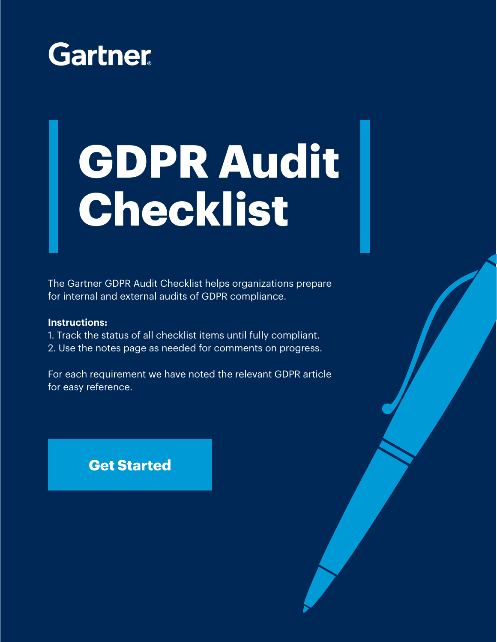

# **GDPR Audit Checklist**

The Gartner GDPR Audit Checklist helps organizations prepare for internal and external audits of GDPR compliance.

#### **Instructions:**

- 1. Track the status of all checklist items until fully compliant.
- 2. Use the notes page as needed for comments on progress.

For each requirement we have noted the relevant GDPR article for easy reference.

#### **[Get Started](#page-1-0)**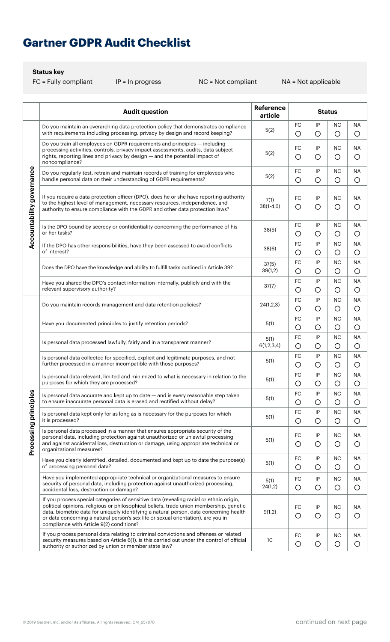## <span id="page-1-0"></span>**Gartner GDPR Audit Checklist**

#### **Status key**

|                           | <b>Audit question</b>                                                                                                                                                                                                                                                                                                                                                                                         | <b>Reference</b><br>article | <b>Status</b>         |                  |                         |                      |
|---------------------------|---------------------------------------------------------------------------------------------------------------------------------------------------------------------------------------------------------------------------------------------------------------------------------------------------------------------------------------------------------------------------------------------------------------|-----------------------------|-----------------------|------------------|-------------------------|----------------------|
| Accountability governance | Do you maintain an overarching data protection policy that demonstrates compliance<br>with requirements including processing, privacy by design and record keeping?                                                                                                                                                                                                                                           | 5(2)                        | FC<br>O               | IP<br>O          | NC<br>O                 | ΝA<br>$\circ$        |
|                           | Do you train all employees on GDPR requirements and principles – including<br>processing activities, controls, privacy impact assessments, audits, data subject<br>rights, reporting lines and privacy by design - and the potential impact of<br>noncompliance?                                                                                                                                              | 5(2)                        | FC<br>$\circ$         | IP<br>O          | NC<br>O                 | ΝA<br>O              |
|                           | Do you regularly test, retrain and maintain records of training for employees who<br>handle personal data on their understanding of GDPR requirements?                                                                                                                                                                                                                                                        | 5(2)                        | FC<br>$\circ$         | IP<br>O          | <b>NC</b><br>$\circ$    | ΝA<br>O              |
|                           | If you require a data protection officer (DPO), does he or she have reporting authority<br>to the highest level of management, necessary resources, independence, and<br>authority to ensure compliance with the GDPR and other data protection laws?                                                                                                                                                         | 7(1)<br>$38(1-4,6)$         | FC<br>$\bigcirc$      | IP<br>O          | NС<br>O                 | ΝA<br>O              |
|                           | Is the DPO bound by secrecy or confidentiality concerning the performance of his<br>or her tasks?                                                                                                                                                                                                                                                                                                             | 38(5)                       | FC<br>$\circ$         | IP<br>O          | <b>NC</b><br>$\circ$    | <b>NA</b><br>$\circ$ |
|                           | If the DPO has other responsibilities, have they been assessed to avoid conflicts<br>of interest?                                                                                                                                                                                                                                                                                                             | 38(6)                       | FC<br>$\circ$         | IP<br>O          | <b>NC</b><br>O          | ΝA<br>O              |
|                           | Does the DPO have the knowledge and ability to fulfill tasks outlined in Article 39?                                                                                                                                                                                                                                                                                                                          | 37(5)<br>39(1,2)            | FC<br>$\circ$         | IP<br>O          | <b>NC</b><br>$\circ$    | <b>NA</b><br>$\circ$ |
|                           | Have you shared the DPO's contact information internally, publicly and with the<br>relevant supervisory authority?                                                                                                                                                                                                                                                                                            | 37(7)                       | FC<br>$\circ$         | IP<br>O          | NС<br>O                 | ΝA<br>O              |
|                           | Do you maintain records management and data retention policies?                                                                                                                                                                                                                                                                                                                                               | 24(1,2,3)                   | FC<br>O               | IP<br>O          | <b>NC</b><br>O          | <b>NA</b><br>O       |
|                           | Have you documented principles to justify retention periods?                                                                                                                                                                                                                                                                                                                                                  | 5(1)                        | FC<br>$\circ$         | IP<br>O          | NС<br>$\circ$           | ΝA<br>O              |
|                           | Is personal data processed lawfully, fairly and in a transparent manner?                                                                                                                                                                                                                                                                                                                                      | 5(1)<br>6(1,2,3,4)          | FC<br>$\circ$         | IP<br>$\circ$    | NС<br>$\circ$           | ΝA<br>O              |
|                           | Is personal data collected for specified, explicit and legitimate purposes, and not<br>further processed in a manner incompatible with those purposes?                                                                                                                                                                                                                                                        | 5(1)                        | FC<br>$\circ$         | IP<br>O          | <b>NC</b><br>O          | <b>NA</b><br>$\circ$ |
|                           | Is personal data relevant, limited and minimized to what is necessary in relation to the<br>purposes for which they are processed?                                                                                                                                                                                                                                                                            | 5(1)                        | FC<br>$\bigcirc$      | ΙP<br>O          | <b>NC</b><br>$\bigcirc$ | <b>NA</b><br>О       |
|                           | Is personal data accurate and kept up to date - and is every reasonable step taken<br>to ensure inaccurate personal data is erased and rectified without delay?                                                                                                                                                                                                                                               | 5(1)                        | FC<br>$\circ$         | IP<br>O          | NC<br>$\circ$           | <b>NA</b><br>O       |
|                           | Is personal data kept only for as long as is necessary for the purposes for which<br>it is processed?                                                                                                                                                                                                                                                                                                         | 5(1)                        | FC<br>$\circ$         | IP<br>O          | <b>NC</b><br>$\circ$    | NA<br>$\circ$        |
| Processing principles     | Is personal data processed in a manner that ensures appropriate security of the<br>personal data, including protection against unauthorized or unlawful processing<br>and against accidental loss, destruction or damage, using appropriate technical or<br>organizational measures?                                                                                                                          | 5(1)                        | FC<br>$\bigcirc$      | IP<br>O          | NC<br>$\circ$           | <b>NA</b><br>O       |
|                           | Have you clearly identified, detailed, documented and kept up to date the purpose(s)<br>of processing personal data?                                                                                                                                                                                                                                                                                          | 5(1)                        | ${\sf FC}$<br>$\circ$ | IP<br>O          | NC<br>O                 | <b>NA</b><br>O       |
|                           | Have you implemented appropriate technical or organizational measures to ensure<br>security of personal data, including protection against unauthorized processing,<br>accidental loss, destruction or damage?                                                                                                                                                                                                | 5(1)<br>24(1,2)             | FC<br>$\circ$         | IP<br>$\circ$    | <b>NC</b><br>$\circ$    | NA<br>$\circ$        |
|                           | If you process special categories of sensitive data (revealing racial or ethnic origin,<br>political opinions, religious or philosophical beliefs, trade union membership, genetic<br>data, biometric data for uniquely identifying a natural person, data concerning health<br>or data concerning a natural person's sex life or sexual orientation), are you in<br>compliance with Article 9(2) conditions? | 9(1,2)                      | FC<br>$\circ$         | IP<br>O          | NC<br>$\circ$           | <b>NA</b><br>O       |
|                           | If you process personal data relating to criminal convictions and offenses or related<br>security measures based on Article 6(1), is this carried out under the control of official<br>authority or authorized by union or member state law?                                                                                                                                                                  | 10                          | FC<br>$\circ$         | IP<br>$\bigcirc$ | <b>NC</b><br>$\circ$    | ΝA<br>O              |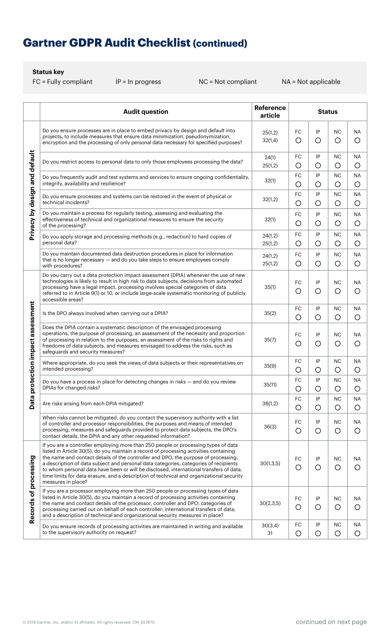# **Gartner GDPR Audit Checklist (continued)**

**Status key**

|                                   | <b>Audit question</b>                                                                                                                                                                                                                                                                                                                                                                                                                                                                                                                                                 | <b>Reference</b><br>article | <b>Status</b>    |                  |                         |                         |
|-----------------------------------|-----------------------------------------------------------------------------------------------------------------------------------------------------------------------------------------------------------------------------------------------------------------------------------------------------------------------------------------------------------------------------------------------------------------------------------------------------------------------------------------------------------------------------------------------------------------------|-----------------------------|------------------|------------------|-------------------------|-------------------------|
| Privacy by design and default     | Do you ensure processes are in place to embed privacy by design and default into<br>projects, to include measures that ensure data minimization, pseudonymization,<br>encryption and the processing of only personal data necessary for specified purposes?                                                                                                                                                                                                                                                                                                           | 25(1,2)<br>32(1,4)          | FC<br>$\circ$    | IP<br>O          | <b>NC</b><br>$\circ$    | ΝA<br>$\bigcirc$        |
|                                   | Do you restrict access to personal data to only those employees processing the data?                                                                                                                                                                                                                                                                                                                                                                                                                                                                                  | 24(1)<br>25(1,2)            | FC<br>O          | IP<br>O          | <b>NC</b><br>O          | ΝA<br>O                 |
|                                   | Do you frequently audit and test systems and services to ensure ongoing confidentiality,<br>integrity, availability and resilience?                                                                                                                                                                                                                                                                                                                                                                                                                                   | 32(1)                       | FC<br>$\circ$    | IP<br>O          | <b>NC</b><br>$\circ$    | <b>NA</b><br>$\bigcirc$ |
|                                   | Do you ensure processes and systems can be restored in the event of physical or<br>technical incidents?                                                                                                                                                                                                                                                                                                                                                                                                                                                               | 32(1,2)                     | FC<br>$\circ$    | IP<br>O          | <b>NC</b><br>O          | <b>NA</b><br>O          |
|                                   | Do you maintain a process for regularly testing, assessing and evaluating the<br>effectiveness of technical and organizational measures to ensure the security<br>of the processing?                                                                                                                                                                                                                                                                                                                                                                                  | 32(1)                       | FC<br>$\bigcirc$ | IP<br>O          | <b>NC</b><br>O          | <b>NA</b><br>O          |
|                                   | Do you apply storage and processing methods (e.g., redaction) to hard copies of<br>personal data?                                                                                                                                                                                                                                                                                                                                                                                                                                                                     | 24(1,2)<br>25(1,2)          | FC<br>$\circ$    | IP<br>O          | <b>NC</b><br>O          | ΝA<br>O                 |
|                                   | Do you maintain documented data destruction procedures in place for information<br>that is no longer necessary - and do you take steps to ensure employees comply<br>with procedures?                                                                                                                                                                                                                                                                                                                                                                                 | 24(1,2)<br>25(1,2)          | FC<br>$\circ$    | IP<br>$\circ$    | <b>NC</b><br>$\circ$    | <b>NA</b><br>O          |
|                                   | Do you carry out a data protection impact assessment (DPIA) whenever the use of new<br>technologies is likely to result in high risk to data subjects, decisions from automated<br>processing have a legal impact, processing involves special categories of data<br>referred to in Article 9(1) or 10, or include large-scale systematic monitoring of publicly<br>accessible areas?                                                                                                                                                                                 | 35(1)                       | FC<br>$\circ$    | IP<br>O          | <b>NC</b><br>$\circ$    | <b>NA</b><br>O          |
|                                   | Is the DPO always involved when carrying out a DPIA?                                                                                                                                                                                                                                                                                                                                                                                                                                                                                                                  | 35(2)                       | FC<br>$\circ$    | IP<br>O          | <b>NC</b><br>$\circ$    | ΝA<br>$\circ$           |
| Data protection impact assessment | Does the DPIA contain a systematic description of the envisaged processing<br>operations, the purpose of processing, an assessment of the necessity and proportion<br>of processing in relation to the purposes, an assessment of the risks to rights and<br>freedoms of data subjects, and measures envisaged to address the risks, such as<br>safeguards and security measures?                                                                                                                                                                                     | 35(7)                       | FC<br>$\circ$    | IP<br>O          | <b>NC</b><br>O          | <b>NA</b><br>$\circ$    |
|                                   | Where appropriate, do you seek the views of data subjects or their representatives on<br>intended processing?                                                                                                                                                                                                                                                                                                                                                                                                                                                         | 35(9)                       | FC<br>$\circ$    | IP<br>O          | <b>NC</b><br>$\circ$    | ΝA<br>O                 |
|                                   | Do you have a process in place for detecting changes in risks - and do you review<br>DPIAs for changed risks?                                                                                                                                                                                                                                                                                                                                                                                                                                                         | 35(11)                      | FC<br>$\circ$    | IP<br>O          | <b>NC</b><br>$\circ$    | <b>NA</b><br>$\circ$    |
|                                   | Are risks arising from each DPIA mitigated?                                                                                                                                                                                                                                                                                                                                                                                                                                                                                                                           | 36(1,2)                     | FC<br>$\circ$    | IP<br>$\bigcirc$ | <b>NC</b><br>$\bigcirc$ | <b>NA</b><br>O          |
|                                   | When risks cannot be mitigated, do you contact the supervisory authority with a list<br>of controller and processor responsibilities, the purposes and means of intended<br>processing, measures and safeguards provided to protect data subjects, the DPO's<br>contact details, the DPIA and any other requested information?                                                                                                                                                                                                                                        | 36(3)                       | FC<br>O          | IP<br>O          | <b>NC</b><br>$\circ$    | <b>NA</b><br>O          |
| Records of processing             | If you are a controller employing more than 250 people or processing types of data<br>listed in Article 30(5), do you maintain a record of processing activities containing<br>the name and contact details of the controller and DPO, the purpose of processing,<br>a description of data subject and personal data categories, categories of recipients<br>to whom personal data have been or will be disclosed, international transfers of data,<br>time limits for data erasure, and a description of technical and organizational security<br>measures in place? | 30(1,3,5)                   | FC<br>$\bigcirc$ | IP<br>O          | <b>NC</b><br>$\circ$    | <b>NA</b><br>O          |
|                                   | If you are a processor employing more than 250 people or processing types of data<br>listed in Article 30(5), do you maintain a record of processing activities containing<br>the name and contact details of the processor, controller and DPO; categories of<br>processing carried out on behalf of each controller; international transfers of data;<br>and a description of technical and organizational security measures in place?                                                                                                                              | 30(2,3,5)                   | FC<br>$\circ$    | IP<br>O          | <b>NC</b><br>$\circ$    | <b>NA</b><br>O          |
|                                   | Do you ensure records of processing activities are maintained in writing and available<br>to the supervisory authority on request?                                                                                                                                                                                                                                                                                                                                                                                                                                    | 30(3,4)<br>31               | FC<br>O          | IP<br>O          | <b>NC</b><br>$\circ$    | <b>NA</b><br>O          |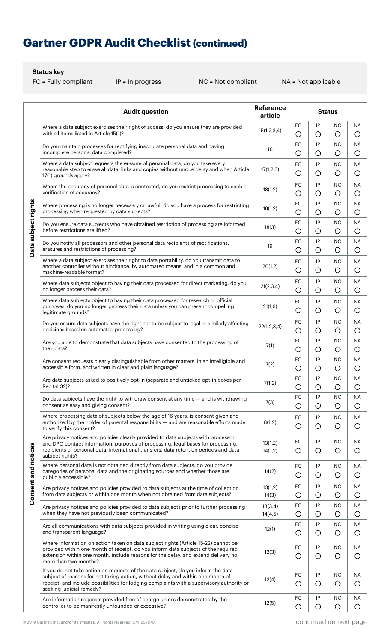## **Gartner GDPR Audit Checklist (continued)**

#### **Status key**

|                            | <b>Audit question</b>                                                                                                                                                                                                                                                                         | <b>Reference</b><br>article | <b>Status</b>         |               |                         |                      |
|----------------------------|-----------------------------------------------------------------------------------------------------------------------------------------------------------------------------------------------------------------------------------------------------------------------------------------------|-----------------------------|-----------------------|---------------|-------------------------|----------------------|
| Data subject rights        | Where a data subject exercises their right of access, do you ensure they are provided<br>with all items listed in Article 15(1)?                                                                                                                                                              | 15(1,2,3,4)                 | FC<br>$\circ$         | IP<br>$\circ$ | <b>NC</b><br>$\circ$    | ΝA<br>O              |
|                            | Do you maintain processes for rectifying inaccurate personal data and having<br>incomplete personal data completed?                                                                                                                                                                           | 16                          | FC<br>O               | IP<br>O       | <b>NC</b><br>$\circ$    | <b>NA</b><br>O       |
|                            | Where a data subject requests the erasure of personal data, do you take every<br>reasonable step to erase all data, links and copies without undue delay and when Article<br>17(1) grounds apply?                                                                                             | 17(1,2,3)                   | FC<br>$\circ$         | IP<br>$\circ$ | <b>NC</b><br>$\circ$    | ΝA<br>O              |
|                            | Where the accuracy of personal data is contested, do you restrict processing to enable<br>verification of accuracy?                                                                                                                                                                           | 18(1,2)                     | FC<br>$\circ$         | IP<br>O       | <b>NC</b><br>O          | ΝA<br>O              |
|                            | Where processing is no longer necessary or lawful, do you have a process for restricting<br>processing when requested by data subjects?                                                                                                                                                       | 18(1,2)                     | FC<br>$\circ$         | IP<br>O       | <b>NC</b><br>$\circ$    | <b>NA</b><br>$\circ$ |
|                            | Do you ensure data subjects who have obtained restriction of processing are informed<br>before restrictions are lifted?                                                                                                                                                                       | 18(3)                       | FC<br>$\circ$         | IP<br>O       | <b>NC</b><br>O          | ΝA<br>$\bigcirc$     |
|                            | Do you notify all processors and other personal data recipients of rectifications,<br>erasures and restrictions of processing?                                                                                                                                                                | 19                          | FC<br>$\circ$         | IP<br>O       | <b>NC</b><br>O          | ΝA<br>$\bigcirc$     |
|                            | Where a data subject exercises their right to data portability, do you transmit data to<br>another controller without hindrance, by automated means, and in a common and<br>machine-readable format?                                                                                          | 20(1,2)                     | FC<br>$\bigcirc$      | IP<br>O       | <b>NC</b><br>O          | ΝA<br>O              |
|                            | Where data subjects object to having their data processed for direct marketing, do you<br>no longer process their data?                                                                                                                                                                       | 21(2,3,4)                   | <b>FC</b><br>$\circ$  | IP<br>O       | <b>NC</b><br>$\circ$    | ΝA<br>O              |
|                            | Where data subjects object to having their data processed for research or official<br>purposes, do you no longer process their data unless you can present compelling<br>legitimate grounds?                                                                                                  | 21(1,6)                     | FC<br>$\circ$         | IP<br>$\circ$ | <b>NC</b><br>$\circ$    | ΝA<br>$\circ$        |
|                            | Do you ensure data subjects have the right not to be subject to legal or similarly affecting<br>decisions based on automated processing?                                                                                                                                                      | 22(1,2,3,4)                 | FC<br>$\circ$         | IP<br>O       | <b>NC</b><br>O          | ΝA<br>$\circ$        |
|                            | Are you able to demonstrate that data subjects have consented to the processing of<br>their data?                                                                                                                                                                                             | 7(1)                        | FC<br>O               | IP<br>O       | <b>NC</b><br>O          | ΝA<br>$\bigcirc$     |
|                            | Are consent requests clearly distinguishable from other matters, in an intelligible and<br>accessible form, and written in clear and plain language?                                                                                                                                          | 7(2)                        | FC<br>$\circ$         | IP<br>O       | <b>NC</b><br>O          | ΝA<br>$\bigcirc$     |
|                            | Are data subjects asked to positively opt-in (separate and unticked opt-in boxes per<br>Recital 32)?                                                                                                                                                                                          | 7(1,2)                      | FC<br>$\bigcirc$      | IP<br>$\circ$ | <b>NC</b><br>$\bigcirc$ | <b>NA</b><br>O       |
|                            | Do data subjects have the right to withdraw consent at any time — and is withdrawing<br>consent as easy and giving consent?                                                                                                                                                                   | 7(3)                        | FC<br>$\circ$         | IP<br>$\circ$ | <b>NC</b><br>$\circ$    | ΝA<br>O              |
|                            | Where processing data of subjects below the age of 16 years, is consent given and<br>authorized by the holder of parental responsibility - and are reasonable efforts made<br>to verify this consent?                                                                                         | 8(1,2)                      | FC<br>O               | IP<br>$\circ$ | <b>NC</b><br>$\circ$    | <b>NA</b><br>O       |
|                            | Are privacy notices and policies clearly provided to data subjects with processor<br>and DPO contact information, purposes of processing, legal bases for processing,<br>recipients of personal data, international transfers, data retention periods and data<br>subject rights?             | 13(1,2)<br>14(1,2)          | FC<br>$\circ$         | IP<br>O       | <b>NC</b><br>$\circ$    | ΝA<br>O              |
| <b>Consent and notices</b> | Where personal data is not obtained directly from data subjects, do you provide<br>categories of personal data and the originating sources and whether those are<br>publicly accessible?                                                                                                      | 14(2)                       | FC<br>$\circ$         | IP<br>$\circ$ | NC<br>$\circ$           | <b>NA</b><br>O       |
|                            | Are privacy notices and policies provided to data subjects at the time of collection<br>from data subjects or within one month when not obtained from data subjects?                                                                                                                          | 13(1,2)<br>14(3)            | FC<br>$\circ$         | IP<br>O       | <b>NC</b><br>$\circ$    | <b>NA</b><br>O       |
|                            | Are privacy notices and policies provided to data subjects prior to further processing<br>when they have not previously been communicated?                                                                                                                                                    | 13(3,4)<br>14(4,5)          | FC<br>O               | IP<br>O       | <b>NC</b><br>$\circ$    | <b>NA</b><br>O       |
|                            | Are all communications with data subjects provided in writing using clear, concise<br>and transparent language?                                                                                                                                                                               | 12(1)                       | FC<br>$\bigcirc$      | IP<br>O       | <b>NC</b><br>$\circ$    | <b>NA</b><br>O       |
|                            | Where information on action taken on data subject rights (Article 15-22) cannot be<br>provided within one month of receipt, do you inform data subjects of the required<br>extension within one month, include reasons for the delay, and extend delivery no<br>more than two months?         | 12(3)                       | FC<br>$\bigcirc$      | IP<br>$\circ$ | <b>NC</b><br>$\circ$    | <b>NA</b><br>O       |
|                            | If you do not take action on requests of the data subject, do you inform the data<br>subject of reasons for not taking action, without delay and within one month of<br>receipt, and include possibilities for lodging complaints with a supervisory authority or<br>seeking judicial remedy? | 12(4)                       | FC<br>O               | IP<br>O       | <b>NC</b><br>$\circ$    | ΝA<br>O              |
|                            | Are information requests provided free of charge unless demonstrated by the<br>controller to be manifestly unfounded or excessive?                                                                                                                                                            | 12(5)                       | ${\sf FC}$<br>$\circ$ | IP<br>O       | <b>NC</b><br>$\circ$    | <b>NA</b><br>$\circ$ |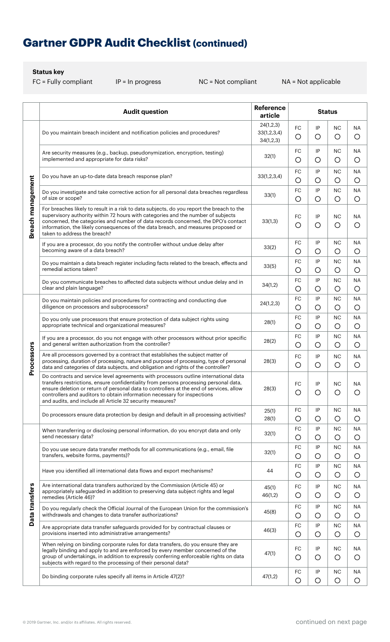## **Gartner GDPR Audit Checklist (continued)**

**Status key**

|                   | <b>Audit question</b>                                                                                                                                                                                                                                                                                                                                                                                             | Reference<br>article                  | <b>Status</b>    |         |                         |                         |
|-------------------|-------------------------------------------------------------------------------------------------------------------------------------------------------------------------------------------------------------------------------------------------------------------------------------------------------------------------------------------------------------------------------------------------------------------|---------------------------------------|------------------|---------|-------------------------|-------------------------|
| Breach management | Do you maintain breach incident and notification policies and procedures?                                                                                                                                                                                                                                                                                                                                         | 24(1,2,3)<br>33(1,2,3,4)<br>34(1,2,3) | <b>FC</b><br>O   | IP<br>O | <b>NC</b><br>O          | <b>NA</b><br>O          |
|                   | Are security measures (e.g., backup, pseudonymization, encryption, testing)<br>implemented and appropriate for data risks?                                                                                                                                                                                                                                                                                        | 32(1)                                 | FC<br>$\circ$    | IP<br>O | <b>NC</b><br>O          | <b>NA</b><br>O          |
|                   | Do you have an up-to-date data breach response plan?                                                                                                                                                                                                                                                                                                                                                              | 33(1,2,3,4)                           | FC<br>$\circ$    | IP<br>O | <b>NC</b><br>O          | ΝA<br>$\circ$           |
|                   | Do you investigate and take corrective action for all personal data breaches regardless<br>of size or scope?                                                                                                                                                                                                                                                                                                      | 33(1)                                 | FC<br>O          | IP<br>O | <b>NC</b><br>O          | <b>NA</b><br>O          |
|                   | For breaches likely to result in a risk to data subjects, do you report the breach to the<br>supervisory authority within 72 hours with categories and the number of subjects<br>concerned, the categories and number of data records concerned, the DPO's contact<br>information, the likely consequences of the data breach, and measures proposed or<br>taken to address the breach?                           | 33(1,3)                               | FC<br>O          | IP<br>O | <b>NC</b><br>O          | ΝA<br>O                 |
|                   | If you are a processor, do you notify the controller without undue delay after<br>becoming aware of a data breach?                                                                                                                                                                                                                                                                                                | 33(2)                                 | FC<br>O          | IP<br>О | <b>NC</b><br>O          | <b>NA</b><br>O          |
|                   | Do you maintain a data breach register including facts related to the breach, effects and<br>remedial actions taken?                                                                                                                                                                                                                                                                                              | 33(5)                                 | FC<br>O          | IP<br>O | NС<br>O                 | ΝA<br>O                 |
|                   | Do you communicate breaches to affected data subjects without undue delay and in<br>clear and plain language?                                                                                                                                                                                                                                                                                                     | 34(1,2)                               | FC<br>$\circ$    | IP<br>О | <b>NC</b><br>O          | <b>NA</b><br>$\bigcirc$ |
|                   | Do you maintain policies and procedures for contracting and conducting due<br>diligence on processors and subprocessors?                                                                                                                                                                                                                                                                                          | 24(1,2,3)                             | FC<br>O          | IP<br>O | <b>NC</b><br>O          | ΝA<br>$\bigcirc$        |
|                   | Do you only use processors that ensure protection of data subject rights using<br>appropriate technical and organizational measures?                                                                                                                                                                                                                                                                              | 28(1)                                 | FC<br>O          | IP<br>О | <b>NC</b><br>O          | <b>NA</b><br>O          |
|                   | If you are a processor, do you not engage with other processors without prior specific<br>and general written authorization from the controller?                                                                                                                                                                                                                                                                  | 28(2)                                 | FC<br>$\bigcirc$ | IP<br>O | <b>NC</b><br>O          | <b>NA</b><br>O          |
| Processors        | Are all processors governed by a contract that establishes the subject matter of<br>processing, duration of processing, nature and purpose of processing, type of personal<br>data and categories of data subjects, and obligation and rights of the controller?                                                                                                                                                  | 28(3)                                 | FC<br>$\circ$    | IP<br>O | <b>NC</b><br>O          | <b>NA</b><br>$\bigcirc$ |
|                   | Do contracts and service level agreements with processors outline international data<br>transfers restrictions, ensure confidentiality from persons processing personal data,<br>ensure deletion or return of personal data to controllers at the end of services, allow<br>controllers and auditors to obtain information necessary for inspections<br>and audits, and include all Article 32 security measures? | 28(3)                                 | FC<br>O          | IP<br>O | <b>NC</b><br>O          | <b>NA</b><br>O          |
|                   | Do processors ensure data protection by design and default in all processing activities?                                                                                                                                                                                                                                                                                                                          | 25(1)<br>28(1)                        | FC<br>$\circ$    | IP<br>O | <b>NC</b><br>O          | ΝA<br>$\circ$           |
|                   | When transferring or disclosing personal information, do you encrypt data and only<br>send necessary data?                                                                                                                                                                                                                                                                                                        | 32(1)                                 | FC<br>$\circ$    | IP<br>O | <b>NC</b><br>O          | ΝA<br>O                 |
|                   | Do you use secure data transfer methods for all communications (e.g., email, file<br>transfers, website forms, payments)?                                                                                                                                                                                                                                                                                         | 32(1)                                 | FC<br>O          | IP<br>O | <b>NC</b><br>O          | <b>NA</b><br>O          |
|                   | Have you identified all international data flows and export mechanisms?                                                                                                                                                                                                                                                                                                                                           | 44                                    | FC<br>O          | IP<br>O | <b>NC</b><br>O          | <b>NA</b><br>O          |
|                   | Are international data transfers authorized by the Commission (Article 45) or<br>appropriately safeguarded in addition to preserving data subject rights and legal<br>remedies (Article 46)?                                                                                                                                                                                                                      | 45(1)<br>46(1,2)                      | FC<br>$\circ$    | IP<br>O | <b>NC</b><br>O          | <b>NA</b><br>O          |
| Data transfers    | Do you regularly check the Official Journal of the European Union for the commission's<br>withdrawals and changes to data transfer authorizations?                                                                                                                                                                                                                                                                | 45(8)                                 | FC<br>$\circ$    | IP<br>O | <b>NC</b><br>$\circ$    | ΝA<br>O                 |
|                   | Are appropriate data transfer safeguards provided for by contractual clauses or<br>provisions inserted into administrative arrangements?                                                                                                                                                                                                                                                                          | 46(3)                                 | FC<br>O          | IP<br>О | <b>NC</b><br>O          | <b>NA</b><br>O          |
|                   | When relying on binding corporate rules for data transfers, do you ensure they are<br>legally binding and apply to and are enforced by every member concerned of the<br>group of undertakings, in addition to expressly conferring enforceable rights on data<br>subjects with regard to the processing of their personal data?                                                                                   | 47(1)                                 | FC<br>O          | IP<br>O | <b>NC</b><br>O          | <b>NA</b><br>O          |
|                   | Do binding corporate rules specify all items in Article 47(2)?                                                                                                                                                                                                                                                                                                                                                    | 47(1,2)                               | FC<br>$\circ$    | IP<br>O | <b>NC</b><br>$\bigcirc$ | ΝA<br>O                 |